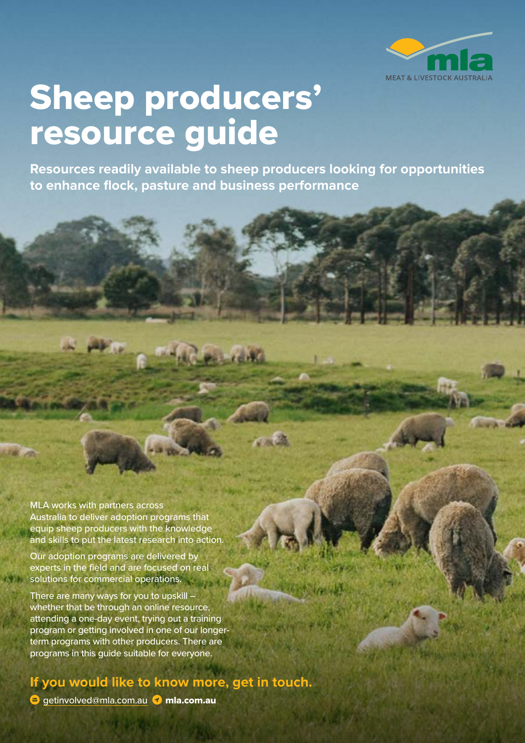

## Sheep producers' resource guide

**Resources readily available to sheep producers looking for opportunities to enhance flock, pasture and business performance**

**Robert Billi** 

MLA works with partners across Australia to deliver adoption programs that equip sheep producers with the knowledge and skills to put the latest research into action.

Our adoption programs are delivered by experts in the field and are focused on real solutions for commercial operations.

There are many ways for you to upskill – whether that be through an online resource, attending a one-day event, trying out a training program or getting involved in one of our longerterm programs with other producers. There are programs in this guide suitable for everyone.

## **If you would like to know more, get in touch.**

 $\bullet$  qetinvolved[@mla.com.au](mailto:hbawden%40mla.com.au?subject=)  $\bullet$  mla.com.au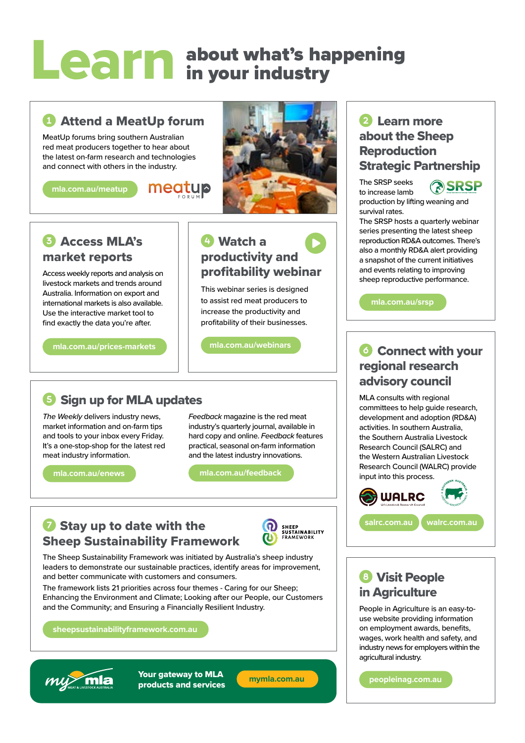## about what's happening in your industry Learn

## **C** Attend a MeatUp forum

MeatUp forums bring southern Australian red meat producers together to hear about the latest on-farm research and technologies and connect with others in the industry.

meatup

**[mla.com.au/meatup](https://www.mla.com.au/meatup)**



## **6** Access MLA's market reports

Access weekly reports and analysis on livestock markets and trends around Australia. Information on export and international markets is also available. Use the interactive market tool to find exactly the data you're after.

**[mla.com.au/prices-markets](https://www.mla.com.au/prices-markets)**

#### **C** Watch a productivity and profitability webinar  $\bullet$

This webinar series is designed to assist red meat producers to increase the productivity and profitability of their businesses.

**[mla.com.au/webinars](http://www.mla.com.au/webinars)**

## **Sign up for MLA updates**

*The Weekly* delivers industry news, market information and on-farm tips and tools to your inbox every Friday. It's a one-stop-shop for the latest red meat industry information.

**[mla.com.au/enews](https://www.mla.com.au/enews)**

*Feedback* magazine is the red meat industry's quarterly journal, available in hard copy and online. *Feedback* features practical, seasonal on-farm information and the latest industry innovations.

**[mla.com.au/feedback](https://www.mla.com.au/feedback)**

## **7** Stay up to date with the Sheep Sustainability Framework



The Sheep Sustainability Framework was initiated by Australia's sheep industry leaders to demonstrate our sustainable practices, identify areas for improvement, and better communicate with customers and consumers.

The framework lists 21 priorities across four themes - Caring for our Sheep; Enhancing the Environment and Climate; Looking after our People, our Customers and the Community; and Ensuring a Financially Resilient Industry.

**[sheepsustainabilityframework.com.au](https://www.sheepsustainabilityframework.com.au)**



Your gateway to MLA products and services **[mymla.com.au](https://mymla.com.au)**

## 2 Learn more about the Sheep Reproduction Strategic Partnership

The SRSP seeks to increase lamb production by lifting weaning and

**RISRSP** 

survival rates. The SRSP hosts a quarterly webinar series presenting the latest sheep

reproduction RD&A outcomes. There's also a monthly RD&A alert providing a snapshot of the current initiatives and events relating to improving sheep reproductive performance.

**[mla.com.au/srsp](http://www.mla.com.au/srsp)**

## **C** Connect with your regional research advisory council

MLA consults with regional committees to help guide research, development and adoption (RD&A) activities. In southern Australia, the Southern Australia Livestock Research Council (SALRC) and the Western Australian Livestock Research Council (WALRC) provide input into this process.



**[salrc.com.au](https://www.salrc.com.au/) [walrc.com.au](https://www.walrc.com.au/)**

## **8 Visit People** in Agriculture

People in Agriculture is an easy-touse website providing information on employment awards, benefits, wages, work health and safety, and industry news for employers within the agricultural industry.

**[peopleinag.com.au](https://www.peopleinag.com.au)**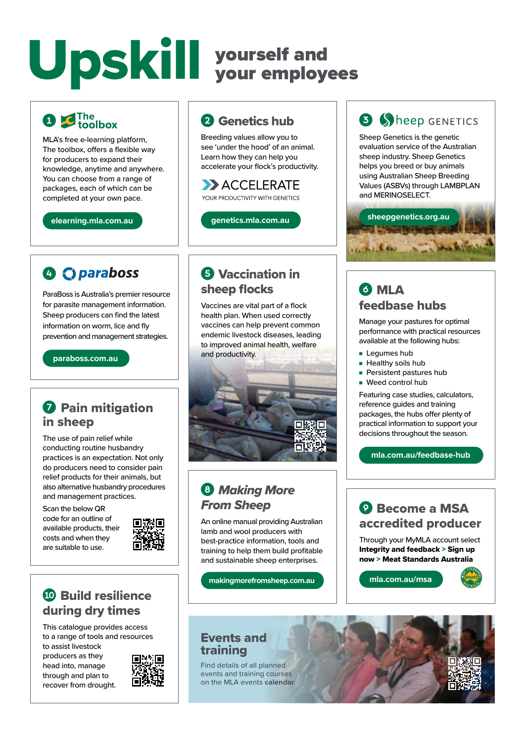# Upskill yourself and

## **O C** The toolbox

MLA's free e-learning platform, The toolbox, offers a flexible way for producers to expand their knowledge, anytime and anywhere. You can choose from a range of packages, each of which can be completed at your own pace.

**[elearning.mla.com.au](https://elearning.mla.com.au)**

## **A C** paraboss

ParaBoss is Australia's premier resource for parasite management information. Sheep producers can find the latest information on worm, lice and fly prevention and management strategies.

**[paraboss.com.au](https://www.paraboss.com.au)**

## **O** Pain mitigation in sheep

The use of pain relief while conducting routine husbandry practices is an expectation. Not only do producers need to consider pain relief products for their animals, but also alternative husbandry procedures and management practices.

Scan the below QR code for an outline of available products, their costs and when they are suitable to use.



## **10 Build resilience** during dry times

This catalogue provides access to a range of tools and resources to assist livestock

producers as they head into, manage through and plan to recover from drought.



## <sup>2</sup> Genetics hub

Breeding values allow you to see 'under the hood' of an animal. Learn how they can help you accelerate your flock's productivity.

#### ACCELERATE YOUR PRODUCTIVITY WITH GENETICS

**[genetics.mla.com.au](https://genetics.mla.com.au)**

## **6** Vaccination in sheep flocks

Vaccines are vital part of a flock health plan. When used correctly vaccines can help prevent common endemic livestock diseases, leading to improved animal health, welfare and productivity.



## **8 Making More** *From Sheep*

An online manual providing Australian lamb and wool producers with best-practice information, tools and training to help them build profitable and sustainable sheep enterprises.

**[makingmorefromsheep.com.au](https://www.makingmorefromsheep.com.au)**

## **B** Sheep GENETICS

Sheep Genetics is the genetic evaluation service of the Australian sheep industry. Sheep Genetics helps you breed or buy animals using Australian Sheep Breeding Values (ASBVs) through LAMBPLAN and MERINOSELECT.



## **6 MLA** feedbase hubs

Manage your pastures for optimal performance with practical resources available at the following hubs:

- Lequmes hub
- Healthy soils hub
- Persistent pastures hub
- Weed control hub

Featuring case studies, calculators, reference guides and training packages, the hubs offer plenty of practical information to support your decisions throughout the season.

**[mla.com.au/feedbase-hub](https://www.mla.com.au/feedbase-hub)**

### **Q** Become a MSA accredited producer

Through your MyMLA account select Integrity and feedback > Sign up now > Meat Standards Australia

**[mla.com.au/msa](https://www.mla.com.au/msa)**



### Events and training

Find details of all planned events and training courses on the MLA events **calendar.**